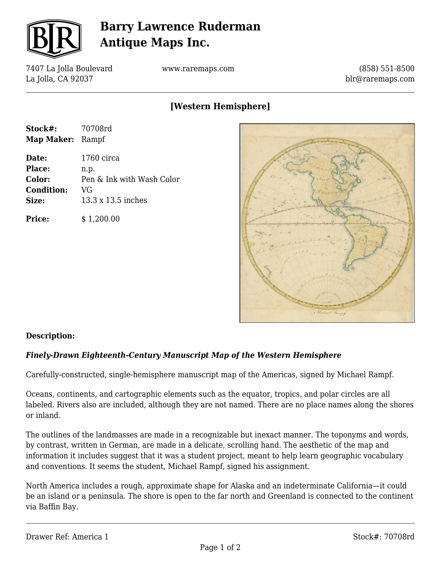

# **Barry Lawrence Ruderman Antique Maps Inc.**

7407 La Jolla Boulevard La Jolla, CA 92037

www.raremaps.com

(858) 551-8500 blr@raremaps.com

## **[Western Hemisphere]**

| Stock#:                 | 70708rd                   |
|-------------------------|---------------------------|
| <b>Map Maker:</b> Rampf |                           |
| Date:                   | 1760 circa                |
| <b>Place:</b>           | n.p.                      |
| <b>Color:</b>           | Pen & Ink with Wash Color |
| <b>Condition:</b>       | VG                        |
| Size:                   | 13.3 x 13.5 inches        |
| <b>Price:</b>           | \$1,200.00                |



### **Description:**

### *Finely-Drawn Eighteenth-Century Manuscript Map of the Western Hemisphere*

Carefully-constructed, single-hemisphere manuscript map of the Americas, signed by Michael Rampf.

Oceans, continents, and cartographic elements such as the equator, tropics, and polar circles are all labeled. Rivers also are included, although they are not named. There are no place names along the shores or inland.

The outlines of the landmasses are made in a recognizable but inexact manner. The toponyms and words, by contrast, written in German, are made in a delicate, scrolling hand. The aesthetic of the map and information it includes suggest that it was a student project, meant to help learn geographic vocabulary and conventions. It seems the student, Michael Rampf, signed his assignment.

North America includes a rough, approximate shape for Alaska and an indeterminate California—it could be an island or a peninsula. The shore is open to the far north and Greenland is connected to the continent via Baffin Bay.